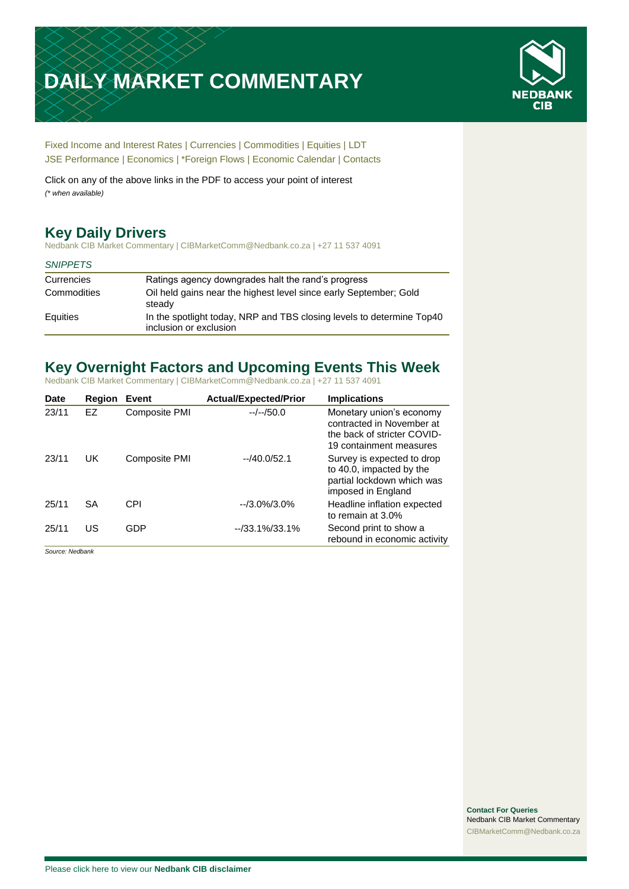# **DAILY MARKET COMMENTARY**



[Fixed Income and Interest Rates](#page-1-0) | [Currencies](#page-2-0) | [Commodities](#page-3-0) [| Equities](#page-4-0) | [LDT](#page-5-0) [JSE Performance](#page-6-0) | [Economics](#page-7-0) | \*Foreign Flows | [Economic Calendar](#page-7-0) | [Contacts](#page-8-0)

Click on any of the above links in the PDF to access your point of interest *(\* when available)*

# **Key Daily Drivers**

Nedbank CIB Market Commentary | CIBMarketComm@Nedbank.co.za | +27 11 537 4091

#### *SNIPPETS*

| Currencies  | Ratings agency downgrades halt the rand's progress                                              |
|-------------|-------------------------------------------------------------------------------------------------|
| Commodities | Oil held gains near the highest level since early September; Gold<br>steady                     |
| Equities    | In the spotlight today, NRP and TBS closing levels to determine Top40<br>inclusion or exclusion |

# **Key Overnight Factors and Upcoming Events This Week**

Nedbank CIB Market Commentary | CIBMarketComm@Nedbank.co.za | +27 11 537 4091

| <b>Date</b> | <b>Region</b> | Event         | <b>Actual/Expected/Prior</b> | <b>Implications</b>                                                                                             |
|-------------|---------------|---------------|------------------------------|-----------------------------------------------------------------------------------------------------------------|
| 23/11       | EZ            | Composite PMI | $-/-/50.0$                   | Monetary union's economy<br>contracted in November at<br>the back of stricter COVID-<br>19 containment measures |
| 23/11       | UK            | Composite PMI | $-40.0/52.1$                 | Survey is expected to drop<br>to 40.0, impacted by the<br>partial lockdown which was<br>imposed in England      |
| 25/11       | <b>SA</b>     | CPI           | $-13.0\%/3.0\%$              | Headline inflation expected<br>to remain at 3.0%                                                                |
| 25/11       | US            | GDP           | $-733.1\%/33.1\%$            | Second print to show a<br>rebound in economic activity                                                          |

*Source: Nedbank*

**Contact For Queries** Nedbank CIB Market Commentary [CIBMarketComm@Nedbank.co.za](file:///C:/Users/Paul-Rose/AppData/Roaming/Bluecurve/templates/CIBMarketComm@Nedbank.co.za)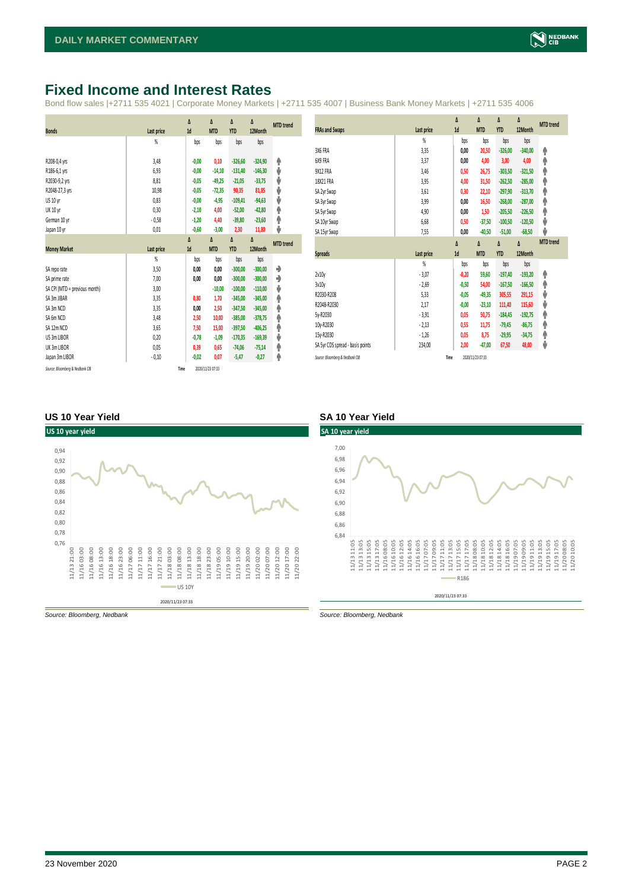## <span id="page-1-0"></span>**Fixed Income and Interest Rates**

Bond flow sales |+2711 535 4021 | Corporate Money Markets | +2711 535 4007 | Business Bank Money Markets | +2711 535 4006

|                               |                   | Δ       | Δ          | Δ          | Δ         | <b>MTD</b> trend |
|-------------------------------|-------------------|---------|------------|------------|-----------|------------------|
| <b>Bonds</b>                  | Last price        | 1d      | <b>MTD</b> | <b>YTD</b> | 12Month   |                  |
|                               | %                 | bps     | bps        | bps        | bps       |                  |
|                               |                   |         |            |            |           |                  |
| R208-0,4 yrs                  | 3,48              | $-0,00$ | 0,10       | $-326,60$  | $-324,90$ | ۸                |
| R186-6,1 yrs                  | 6,93              | $-0,00$ | $-14,10$   | $-131,40$  | $-146,30$ | ψ                |
| R2030-9,2 yrs                 | 8,81              | $-0,05$ | $-49,25$   | $-21,05$   | $-33,75$  | ψ                |
| R2048-27,3 yrs                | 10,98             | $-0,05$ | $-72,35$   | 90,35      | 81,85     | ψ                |
| US 10 yr                      | 0,83              | $-0,00$ | $-4,95$    | $-109,41$  | $-94,63$  | ψ                |
| <b>UK 10 yr</b>               | 0,30              | $-2,10$ | 4,00       | $-52,00$   | $-42,80$  | ۸                |
| German 10 yr                  | $-0,58$           | $-1,20$ | 4,40       | $-39,80$   | $-23,60$  | φ                |
| Japan 10 yr                   | 0,01              | $-0,60$ | $-3,00$    | 2,30       | 11,80     | ψ                |
|                               |                   | Δ       | Δ          | Δ          | Δ         | <b>MTD</b> trend |
| <b>Money Market</b>           | <b>Last price</b> | 1d      | <b>MTD</b> | <b>YTD</b> | 12Month   |                  |
|                               | $\frac{9}{20}$    | bps     | bps        | bps        | bps       |                  |
| SA reporate                   | 3,50              | 0,00    | 0,00       | $-300,00$  | $-300,00$ | ۰                |
| SA prime rate                 | 7,00              | 0,00    | 0,00       | $-300,00$  | $-300,00$ | ۰                |
| SA CPI (MTD = previous month) | 3,00              |         | $-10,00$   | $-100,00$  | $-110,00$ | ψ                |
| SA 3m JIBAR                   | 3,35              | 0,80    | 1,70       | $-345,00$  | $-345,00$ | ۸                |
| SA 3m NCD                     | 3,35              | 0,00    | 2,50       | $-347,50$  | $-345,00$ | ۸                |
| SA 6m NCD                     | 3,48              | 2,50    | 10,00      | $-385.00$  | $-378,75$ | ۸                |
| SA 12m NCD                    | 3,65              | 7,50    | 15,00      | $-397,50$  | $-406,25$ | ۸                |
| US 3m LIBOR                   | 0,20              | $-0,78$ | $-1,09$    | $-170,35$  | $-169,39$ | ψ                |
| UK 3m LIBOR                   | 0,05              | 0,39    | 0,65       | $-74,06$   | $-75,14$  | ٨                |
|                               |                   |         |            |            |           |                  |
| Japan 3m LIBOR                | $-0,10$           | $-0,02$ | 0,07       | $-5,47$    | $-0,27$   | ۸                |

|                                  |                | Δ       | Δ                | Δ          | Δ         | <b>MTD</b> trend |
|----------------------------------|----------------|---------|------------------|------------|-----------|------------------|
| <b>FRAs and Swaps</b>            | Last price     | 1d      | <b>MTD</b>       | <b>YTD</b> | 12Month   |                  |
|                                  | $\frac{9}{20}$ | bps     | bps              | bps        | bps       |                  |
| 3X6 FRA                          | 3,35           | 0.00    | 20,50            | $-326,00$  | $-340,00$ | ۸                |
| 6X9 FRA                          | 3,37           | 0,00    | 4,00             | 3,00       | 4,00      | φ                |
| <b>9X12 FRA</b>                  | 3,46           | 0,50    | 26,75            | $-303,50$  | $-321,50$ | ۸                |
| 18X21 FRA                        | 3,95           | 4,00    | 31,50            | $-262,50$  | $-285,00$ | ۸                |
| SA 2yr Swap                      | 3,61           | 0,30    | 22,10            | $-297,90$  | $-313,70$ | φ                |
| SA 3yr Swap                      | 3,99           | 0.00    | 16,50            | $-268,00$  | $-287,00$ | ۸                |
| SA 5yr Swap                      | 4,90           | 0,00    | 1,50             | $-205,50$  | $-226,50$ | ۸                |
| SA 10yr Swap                     | 6,68           | 0,50    | $-37,50$         | $-100,50$  | $-120,50$ | ψ                |
| SA 15yr Swap                     | 7,55           | 0,00    | $-40,50$         | $-51,00$   | $-68,50$  | ψ                |
|                                  |                | Δ       | Δ                | $\Delta$   | Δ         | <b>MTD</b> trend |
| <b>Spreads</b>                   | Last price     | 1d      | <b>MTD</b>       | <b>YTD</b> | 12Month   |                  |
|                                  | $\frac{9}{20}$ | bps     | bps              | bps        | bps       |                  |
| 2v10y                            | $-3,07$        | $-0,20$ | 59,60            | $-197,40$  | $-193,20$ | ۸                |
| 3v10y                            | $-2,69$        | $-0,50$ | 54,00            | $-167,50$  | $-166,50$ | ۸                |
| R2030-R208                       | 5,33           | $-0,05$ | $-49,35$         | 305,55     | 291,15    | ψ                |
| R2048-R2030                      | 2,17           | $-0,00$ | $-23,10$         | 111,40     | 115,60    | ψ                |
| 5y-R2030                         | $-3,91$        | 0.05    | 50,75            | $-184,45$  | $-192,75$ | ۸                |
| 10y-R2030                        | $-2,13$        | 0,55    | 11,75            | $-79,45$   | $-86,75$  | ۸                |
| 15y-R2030                        | $-1,26$        | 0,05    | 8,75             | $-29,95$   | $-34,75$  | ۸                |
| SA 5yr CDS spread - basis points | 234,00         | 2,00    | $-47,00$         | 67,50      | 48,00     | ψ                |
| Source: Bloomberg & Nedbank CIB  | Time           |         | 2020/11/23 07:33 |            |           |                  |

#### **US 10 Year Yield SA 10 Year Yield**



*Source: Bloomberg, Nedbank Source: Bloomberg, Nedbank*

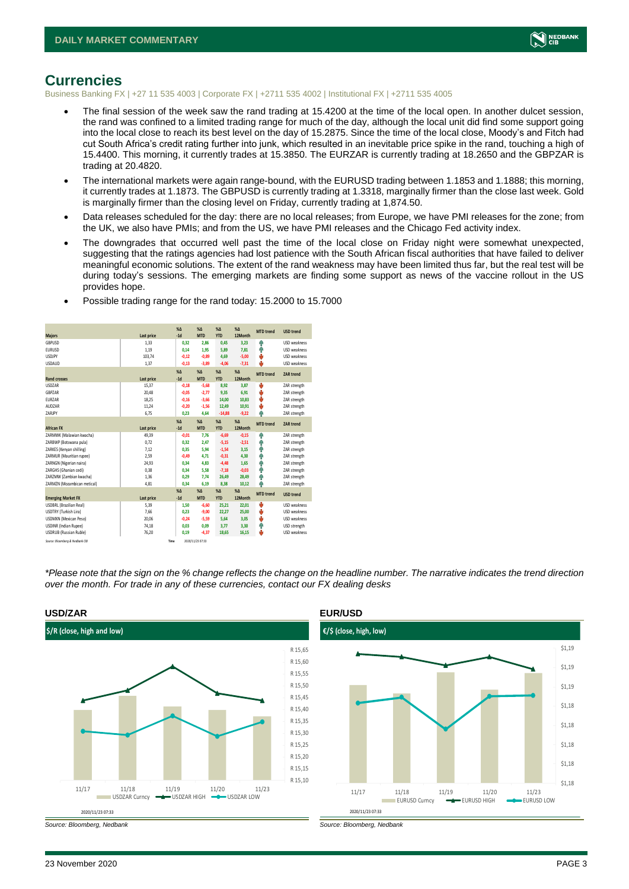

#### <span id="page-2-0"></span>**Currencies**

Business Banking FX | +27 11 535 4003 | Corporate FX | +2711 535 4002 | Institutional FX | +2711 535 4005

- The final session of the week saw the rand trading at 15.4200 at the time of the local open. In another dulcet session, the rand was confined to a limited trading range for much of the day, although the local unit did find some support going into the local close to reach its best level on the day of 15.2875. Since the time of the local close, Moody's and Fitch had cut South Africa's credit rating further into junk, which resulted in an inevitable price spike in the rand, touching a high of 15.4400. This morning, it currently trades at 15.3850. The EURZAR is currently trading at 18.2650 and the GBPZAR is trading at 20.4820.
- The international markets were again range-bound, with the EURUSD trading between 1.1853 and 1.1888; this morning, it currently trades at 1.1873. The GBPUSD is currently trading at 1.3318, marginally firmer than the close last week. Gold is marginally firmer than the closing level on Friday, currently trading at 1,874.50.
- Data releases scheduled for the day: there are no local releases; from Europe, we have PMI releases for the zone; from the UK, we also have PMIs; and from the US, we have PMI releases and the Chicago Fed activity index.
- The downgrades that occurred well past the time of the local close on Friday night were somewhat unexpected, suggesting that the ratings agencies had lost patience with the South African fiscal authorities that have failed to deliver meaningful economic solutions. The extent of the rand weakness may have been limited thus far, but the real test will be during today's sessions. The emerging markets are finding some support as news of the vaccine rollout in the US provides hope.

|                                 |            | X <sub>A</sub> | X <sub>A</sub>   | $\%$ $\Lambda$ | $% \Delta$<br>12Month | <b>MTD</b> trend | <b>USD trend</b>    |
|---------------------------------|------------|----------------|------------------|----------------|-----------------------|------------------|---------------------|
| <b>Majors</b>                   | Last price | $-1d$          | <b>MTD</b>       | <b>YTD</b>     |                       |                  |                     |
| GBPUSD                          | 1,33       | 0,32           | 2.86             | 0,45           | 3,23                  | 4                | <b>USD</b> weakness |
| <b>EURUSD</b>                   | 1.19       | 0,14           | 1.95             | 5,89           | 7.81                  | 4                | <b>USD</b> weakness |
| <b>USDJPY</b>                   | 103,74     | $-0,12$        | $-0,89$          | 4,69           | $-5,00$               | Ů                | <b>USD</b> weakness |
| <b>USDAUD</b>                   | 1,37       | $-0,13$        | $-3,89$          | $-4,06$        | $-7,31$               | J.               | <b>USD</b> weakness |
|                                 |            | $\% \Delta$    | $\% \Delta$      | $% \Delta$     | $% \Delta$            | <b>MTD</b> trend | ZAR trend           |
| <b>Rand crosses</b>             | Last price | $-1d$          | <b>MTD</b>       | <b>YTD</b>     | 12Month               |                  |                     |
| <b>USDZAR</b>                   | 15,37      | $-0,18$        | $-5,68$          | 8,92           | 3,87                  | Ů                | ZAR strength        |
| GBPZAR                          | 20,48      | $-0,05$        | $-2,77$          | 9,35           | 6,91                  | ψ                | ZAR strength        |
| <b>FUR7AR</b>                   | 18,25      | $-0.16$        | $-3.66$          | 14,00          | 10,83                 | Ů                | ZAR strength        |
| AUDZAR                          | 11,24      | $-0,20$        | $-1,56$          | 12,49          | 10,91                 | ψ                | ZAR strength        |
| ZARJPY                          | 6,75       | 0.23           | 4,64             | $-14,88$       | $-9,22$               | A                | ZAR strength        |
|                                 |            | X <sub>A</sub> | X <sub>A</sub>   | $% \Delta$     | $% \Delta$            |                  |                     |
| <b>African FX</b>               | Last price | $-1d$          | <b>MTD</b>       | <b>YTD</b>     | 12Month               | <b>MTD</b> trend | <b>ZAR trend</b>    |
| ZARMWK (Malawian kwacha)        | 49,39      | $-0,01$        | 7.76             | $-6,69$        | $-0,15$               | 4                | ZAR strength        |
| ZARBWP (Botswana pula)          | 0,72       | 0.32           | 2.47             | $-5,15$        | $-2,51$               | 4                | ZAR strength        |
| ZARKES (Kenvan shilling)        | 7.12       | 0.35           | 5.94             | $-1,54$        | 3,15                  | Ą                | ZAR strength        |
| ZARMUR (Mauritian rupee)        | 2,59       | $-0,49$        | 4.71             | $-0,31$        | 4,30                  | 4                | ZAR strength        |
| ZARNGN (Nigerian naira)         | 24,93      | 0.34           | 4.83             | $-4,48$        | 1.65                  | 4                | ZAR strength        |
| ZARGHS (Ghanian cedi)           | 0.38       | 0.34           | 5.58             | $-7,18$        | $-0.03$               | Φ                | ZAR strength        |
| ZARZMW (Zambian kwacha)         | 1,36       | 0.29           | 7.74             | 26,49          | 28,49                 | 4                | ZAR strength        |
| ZARMZN (Mozambican metical)     | 4.81       | 0.34           | 6.19             | 8,38           | 10,12                 | ٨                | ZAR strength        |
|                                 |            | X <sub>A</sub> | X <sub>A</sub>   | $% \Delta$     | $% \Delta$            |                  |                     |
| <b>Emerging Market FX</b>       | Last price | $-1d$          | <b>MTD</b>       | <b>YTD</b>     | 12Month               | <b>MTD</b> trend | <b>USD trend</b>    |
| <b>USDBRL (Brazilian Real)</b>  | 5,39       | 1.50           | $-6.60$          | 25,21          | 22,01                 | ψ                | USD weakness        |
| USDTRY (Turkish Lira)           | 7.66       | 0.23           | $-9.00$          | 22,27          | 25.00                 | ψ                | USD weakness        |
| <b>USDMXN (Mexican Peso)</b>    | 20,06      | $-0.24$        | $-5,59$          | 5,64           | 3,05                  | ψ                | USD weakness        |
| <b>USDINR</b> (Indian Rupee)    | 74,18      | 0.03           | 0.09             | 3,77           | 3,30                  | Ą                | USD strength        |
| <b>USDRUB</b> (Russian Ruble)   | 76,20      | 0,19           | $-4,37$          | 18,65          | 16,15                 | Ů                | USD weakness        |
| Source: Bloomberg & Nedbank CIB |            | Time           | 2020/11/23 07:33 |                |                       |                  |                     |

• Possible trading range for the rand today: 15.2000 to 15.7000

*\*Please note that the sign on the % change reflects the change on the headline number. The narrative indicates the trend direction over the month. For trade in any of these currencies, contact our FX dealing desks*



*Source: Bloomberg, Nedbank Source: Bloomberg, Nedbank*

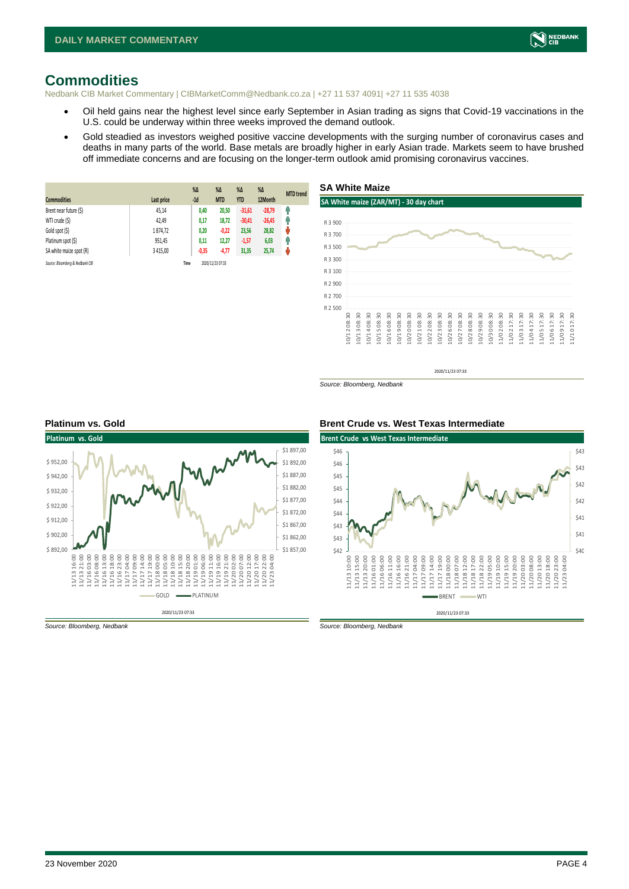

#### <span id="page-3-0"></span>**Commodities**

Nedbank CIB Market Commentary | CIBMarketComm@Nedbank.co.za | +27 11 537 4091| +27 11 535 4038

- Oil held gains near the highest level since early September in Asian trading as signs that Covid-19 vaccinations in the U.S. could be underway within three weeks improved the demand outlook.
- Gold steadied as investors weighed positive vaccine developments with the surging number of coronavirus cases and deaths in many parts of the world. Base metals are broadly higher in early Asian trade. Markets seem to have brushed off immediate concerns and are focusing on the longer-term outlook amid promising coronavirus vaccines.

| <b>Commodities</b>              | Last price    | $% \Delta$<br>$-1d$ | $\%$ $\Delta$<br><b>MTD</b> | $% \Delta$<br><b>YTD</b> | $\%$ $\Delta$<br>12Month | <b>MTD</b> trend |
|---------------------------------|---------------|---------------------|-----------------------------|--------------------------|--------------------------|------------------|
| Brent near future (\$)          | 45,14         | 0,40                | 20,50                       | $-31,61$                 | $-28,79$                 | φ                |
| WTI crude (\$)                  | 42,49         | 0,17                | 18,72                       | $-30,41$                 | $-26,45$                 | φ                |
| Gold spot (\$)                  | 1874,72       | 0,20                | $-0,22$                     | 23,56                    | 28,82                    | ŵ                |
| Platinum spot (\$)              | 951,45        | 0,11                | 12,27                       | $-1,57$                  | 6,03                     | Ĥ                |
| SA white maize spot (R)         | 3 4 1 5 , 0 0 | $-0,35$             | $-4,77$                     | 31,35                    | 25,74                    | ŵ                |
| Source: Bloomberg & Nedbank CIB |               | Time                | 2020/11/23 07:33            |                          |                          |                  |



*Source: Bloomberg, Nedbank*





*Source: Bloomberg, Nedbank Source: Bloomberg, Nedbank*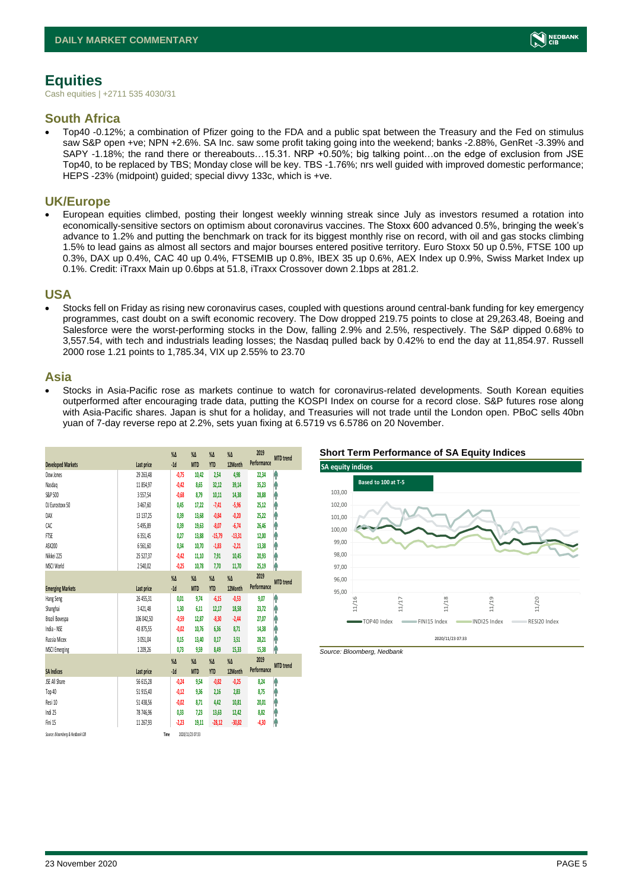# <span id="page-4-0"></span>**Equities**

Cash equities | +2711 535 4030/31

#### **South Africa**

• Top40 -0.12%; a combination of Pfizer going to the FDA and a public spat between the Treasury and the Fed on stimulus saw S&P open +ve; NPN +2.6%. SA Inc. saw some profit taking going into the weekend; banks -2.88%, GenRet -3.39% and SAPY -1.18%; the rand there or thereabouts…15.31. NRP +0.50%; big talking point…on the edge of exclusion from JSE Top40, to be replaced by TBS; Monday close will be key. TBS -1.76%; nrs well guided with improved domestic performance; HEPS -23% (midpoint) guided; special divvy 133c, which is +ve.

#### **UK/Europe**

• European equities climbed, posting their longest weekly winning streak since July as investors resumed a rotation into economically-sensitive sectors on optimism about coronavirus vaccines. The Stoxx 600 advanced 0.5%, bringing the week's advance to 1.2% and putting the benchmark on track for its biggest monthly rise on record, with oil and gas stocks climbing 1.5% to lead gains as almost all sectors and major bourses entered positive territory. Euro Stoxx 50 up 0.5%, FTSE 100 up 0.3%, DAX up 0.4%, CAC 40 up 0.4%, FTSEMIB up 0.8%, IBEX 35 up 0.6%, AEX Index up 0.9%, Swiss Market Index up 0.1%. Credit: iTraxx Main up 0.6bps at 51.8, iTraxx Crossover down 2.1bps at 281.2.

#### **USA**

Stocks fell on Friday as rising new coronavirus cases, coupled with questions around central-bank funding for key emergency programmes, cast doubt on a swift economic recovery. The Dow dropped 219.75 points to close at 29,263.48, Boeing and Salesforce were the worst-performing stocks in the Dow, falling 2.9% and 2.5%, respectively. The S&P dipped 0.68% to 3,557.54, with tech and industrials leading losses; the Nasdaq pulled back by 0.42% to end the day at 11,854.97. Russell 2000 rose 1.21 points to 1,785.34, VIX up 2.55% to 23.70

#### **Asia**

• Stocks in Asia-Pacific rose as markets continue to watch for coronavirus-related developments. South Korean equities outperformed after encouraging trade data, putting the KOSPI Index on course for a record close. S&P futures rose along with Asia-Pacific shares. Japan is shut for a holiday, and Treasuries will not trade until the London open. PBoC sells 40bn yuan of 7-day reverse repo at 2.2%, sets yuan fixing at 6.5719 vs 6.5786 on 20 November.

|                                 |            | $\%$ $\Delta$ | $\%$ $\Delta$    | $\%$ $\Delta$ | $\%$ $\Delta$ | 2019        | <b>MTD</b> trend |
|---------------------------------|------------|---------------|------------------|---------------|---------------|-------------|------------------|
| <b>Developed Markets</b>        | Last price | $-1d$         | <b>MTD</b>       | <b>YTD</b>    | 12Month       | Performance |                  |
| Dow Jones                       | 29 263,48  | $-0.75$       | 10,42            | 2,54          | 4,98          | 22,34       | Ą                |
| Nasdao                          | 11 854.97  | $-0.42$       | 8.65             | 32,12         | 39,14         | 35,23       | h                |
| S&P 500                         | 3557,54    | $-0,68$       | 8,79             | 10,11         | 14,38         | 28,88       | ł                |
| DJ Eurostoxx 50                 | 3467,60    | 0,45          | 17,22            | $-7,41$       | $-5,96$       | 25,12       | ٨                |
| DAX                             | 13 137,25  | 0.39          | 13.68            | $-0,84$       | $-0,20$       | 25,22       | ł                |
| CAC                             | 5495,89    | 0.39          | 19,63            | $-8,07$       | $-6,74$       | 26,46       | ł                |
| <b>FTSE</b>                     | 6351,45    | 0,27          | 13,88            | $-15,79$      | $-13,31$      | 12,00       | ۸                |
| ASX200                          | 6561,60    | 0,34          | 10,70            | $-1,83$       | $-2,21$       | 13,38       | ł                |
| Nikkei 225                      | 25 527.37  | $-0.42$       | 11,10            | 7,91          | 10,45         | 20,93       | h                |
| MSCI World                      | 2540.02    | $-0.25$       | 10,78            | 7,70          | 11,70         | 25,19       | h                |
|                                 |            | $\sqrt{2}$    | $\%$ $\Delta$    | $\%$ $\Delta$ | $\%$ $\Delta$ | 2019        | <b>MTD</b> trend |
| <b>Emerging Markets</b>         | Last price | $-1d$         | <b>MTD</b>       | <b>YTD</b>    | 12Month       | Performance |                  |
| Hang Seng                       | 26 455,31  | 0,01          | 9,74             | $-6,15$       | $-0,53$       | 9,07        | A                |
| Shanghai                        | 3 4 2 1.48 | 1.30          | 6.11             | 12,17         | 18,58         | 23,72       | h                |
| Brazil Bovespa                  | 106 042.50 | $-0,59$       | 12.87            | $-8,30$       | $-2,44$       | 27.07       | ۸                |
| India - NSE                     | 43 875,55  | $-0.02$       | 10,76            | 6,36          | 8,71          | 14,38       | Ą                |
| Russia Micex                    | 3051.04    | 0.15          | 13.40            | 0.17          | 3.51          | 28,21       | h                |
| <b>MSCI Emerging</b>            | 1 209,26   | 0,73          | 9,59             | 8,49          | 15,33         | 15,38       | h                |
|                                 |            | $\%$          | $\%$ $\Delta$    | $\%$ $\Delta$ | $\%$          | 2019        | <b>MTD</b> trend |
| <b>SA Indices</b>               | Last price | $-1d$         | <b>MTD</b>       | <b>YTD</b>    | 12Month       | Performance |                  |
| <b>ISE All Share</b>            | 56 615,28  | $-0,24$       | 9,54             | $-0,82$       | $-0.25$       | 8,24        | A                |
| Top 40                          | 51 915,40  | $-0,12$       | 9,36             | 2,16          | 2,83          | 8,75        | h                |
| Resi 10                         | 51 438,56  | $-0.02$       | 8.71             | 4,42          | 10,81         | 20,01       | h                |
| Indi 25                         | 78 746,96  | 0,33          | 7,23             | 13,63         | 12,42         | 8,82        | ۸                |
| Fini 15                         | 11 267.93  | $-2,23$       | 19.11            | $-28,12$      | $-30,82$      | $-4,30$     | ł                |
| Source: Bloomberg & Nedbonk CIB |            | Time          | 2020/11/23 07:33 |               |               |             |                  |





*Source: Bloomberg, Nedbank*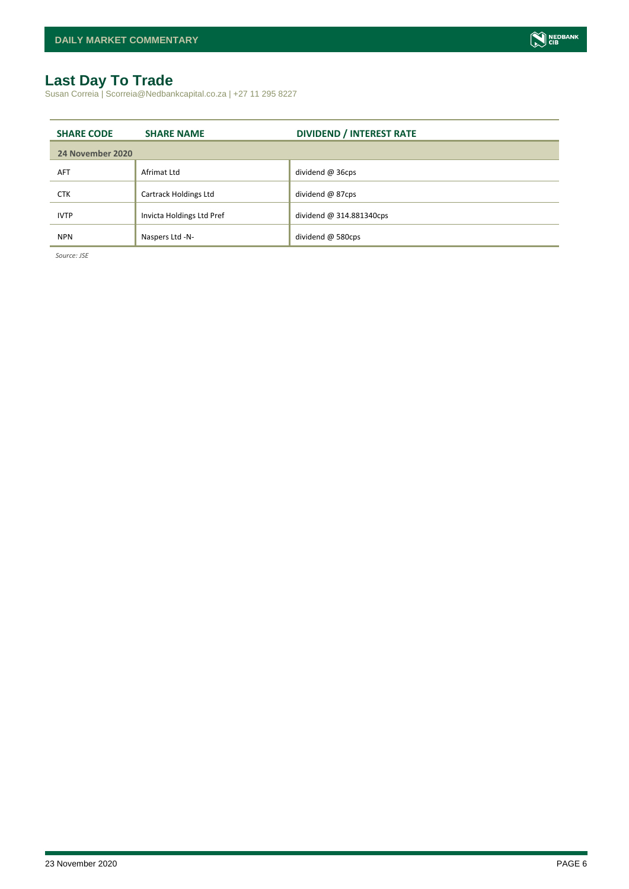## <span id="page-5-0"></span>**Last Day To Trade**

Susan Correia | Scorreia@Nedbankcapital.co.za | +27 11 295 8227

| <b>SHARE CODE</b> | <b>SHARE NAME</b>            | <b>DIVIDEND / INTEREST RATE</b> |
|-------------------|------------------------------|---------------------------------|
| 24 November 2020  |                              |                                 |
| <b>AFT</b>        | Afrimat Ltd                  | dividend @ 36cps                |
| <b>CTK</b>        | <b>Cartrack Holdings Ltd</b> | dividend @ 87cps                |
| <b>IVTP</b>       | Invicta Holdings Ltd Pref    | dividend @ 314.881340cps        |
| <b>NPN</b>        | Naspers Ltd -N-              | dividend @ 580cps               |

*Source: JSE*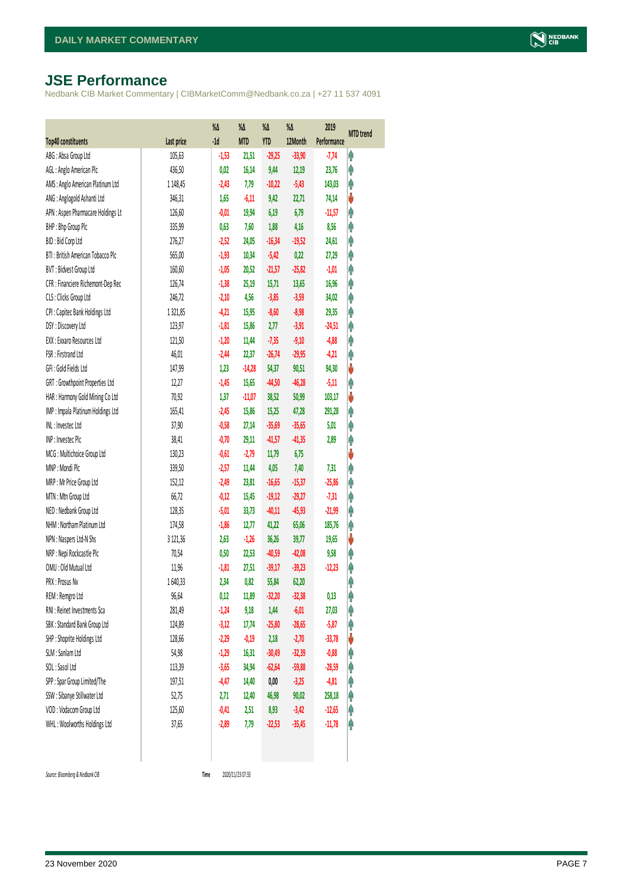# <span id="page-6-0"></span>**JSE Performance**

Nedbank CIB Market Commentary | CIBMarketComm@Nedbank.co.za | +27 11 537 4091

|                                    |            | $% \Delta$ | %Δ         | %Δ         | %Δ       | 2019        | <b>MTD</b> trend |
|------------------------------------|------------|------------|------------|------------|----------|-------------|------------------|
| <b>Top40 constituents</b>          | Last price | $-1d$      | <b>MTD</b> | <b>YTD</b> | 12Month  | Performance |                  |
| ABG: Absa Group Ltd                | 105,63     | $-1,53$    | 21,51      | $-29,25$   | $-33,90$ | $-7,74$     | φ                |
| AGL: Anglo American Plc            | 436,50     | 0,02       | 16,14      | 9,44       | 12,19    | 23,76       | φ                |
| AMS: Anglo American Platinum Ltd   | 1 148,45   | $-2,43$    | 7,79       | $-10,22$   | $-5,43$  | 143,03      | φ                |
| ANG: Anglogold Ashanti Ltd         | 346,31     | 1,65       | $-6,11$    | 9,42       | 22,71    | 74,14       | ψ                |
| APN : Aspen Pharmacare Holdings Lt | 126,60     | $-0,01$    | 19,94      | 6,19       | 6,79     | $-11,57$    | φ                |
| BHP: Bhp Group Plc                 | 335,99     | 0,63       | 7,60       | 1,88       | 4,16     | 8,56        | φ                |
| BID: Bid Corp Ltd                  | 276,27     | $-2,52$    | 24,05      | $-16,34$   | $-19,52$ | 24,61       | φ                |
| BTI: British American Tobacco Plc  | 565,00     | $-1,93$    | 10,34      | $-5,42$    | 0,22     | 27,29       | φ                |
| BVT: Bidvest Group Ltd             | 160,60     | $-1,05$    | 20,52      | $-21,57$   | $-25,82$ | $-1,01$     | φ                |
| CFR : Financiere Richemont-Dep Rec | 126,74     | $-1,38$    | 25,19      | 15,71      | 13,65    | 16,96       | φ                |
| CLS : Clicks Group Ltd             | 246,72     | $-2,10$    | 4,56       | $-3,85$    | $-3,59$  | 34,02       | φ                |
| CPI : Capitec Bank Holdings Ltd    | 1321,85    | $-4,21$    | 15,95      | $-8,60$    | $-8,98$  | 29,35       | φ                |
| DSY: Discovery Ltd                 | 123,97     | $-1,81$    | 15,86      | 2,77       | $-3,91$  | $-24,51$    | φ                |
| EXX : Exxaro Resources Ltd         | 121,50     | $-1,20$    | 11,44      | $-7,35$    | $-9,10$  | $-4,88$     | φ                |
| FSR: Firstrand Ltd                 | 46,01      | $-2,44$    | 22,37      | $-26,74$   | $-29,95$ | $-4,21$     | φ                |
| GFI: Gold Fields Ltd               | 147,99     | 1,23       | $-14,28$   | 54,37      | 90,51    | 94,30       | ψ                |
| GRT : Growthpoint Properties Ltd   | 12,27      | $-1,45$    | 15,65      | $-44,50$   | $-46,28$ | $-5,11$     | φ                |
| HAR : Harmony Gold Mining Co Ltd   | 70,92      | 1,37       | $-11,07$   | 38,52      | 50,99    | 103,17      | ♦                |
| IMP : Impala Platinum Holdings Ltd | 165,41     | $-2,45$    | 15,86      | 15,25      | 47,28    | 291,28      | φ                |
| INL: Investec Ltd                  | 37,90      | $-0,58$    | 27,14      | $-35,69$   | $-35,65$ | 5,01        | φ                |
| INP: Investec Plc                  | 38,41      | $-0,70$    | 29,11      | $-41,57$   | $-41,35$ | 2,89        | φ                |
| MCG: Multichoice Group Ltd         | 130,23     | $-0,61$    | $-2,79$    | 11,79      | 6,75     |             | V                |
| MNP: Mondi Plc                     | 339,50     | $-2,57$    | 11,44      | 4,05       | 7,40     | 7,31        | Ą                |
| MRP : Mr Price Group Ltd           | 152,12     | $-2,49$    | 23,81      | $-16,65$   | $-15,37$ | $-25,86$    | φ                |
| MTN: Mtn Group Ltd                 | 66,72      | $-0,12$    | 15,45      | $-19,12$   | $-29,27$ | $-7,31$     | φ                |
| NED : Nedbank Group Ltd            | 128,35     | $-5,01$    | 33,73      | $-40,11$   | $-45,93$ | $-21,99$    | φ                |
| NHM: Northam Platinum Ltd          | 174,58     | $-1,86$    | 12,77      | 41,22      | 65,06    | 185,76      | φ                |
| NPN : Naspers Ltd-N Shs            | 3 121,36   | 2,63       | $-1,26$    | 36,26      | 39,77    | 19,65       | V                |
| NRP : Nepi Rockcastle Plc          | 70,54      | 0,50       | 22,53      | $-40,59$   | $-42,08$ | 9,58        | φ                |
| OMU: Old Mutual Ltd                | 11,96      | $-1,81$    | 27,51      | $-39,17$   | $-39,23$ | $-12,23$    | φ                |
| PRX: Prosus Nv                     | 1640,33    | 2,34       | 0,82       | 55,84      | 62,20    |             | φ                |
| REM : Remgro Ltd                   | 96,64      | 0,12       | 11,89      | $-32,20$   | $-32,38$ | 0,13        | f                |
| RNI : Reinet Investments Sca       | 281,49     | $-1,24$    | 9,18       | 1,44       | $-6,01$  | 27,03       | φ                |
| SBK: Standard Bank Group Ltd       | 124,89     | $-3,12$    | 17,74      | $-25,80$   | $-28,65$ | $-5,87$     | φ                |
| SHP: Shoprite Holdings Ltd         | 128,66     | $-2,29$    | $-0,19$    | 2,18       | $-2,70$  | $-33,78$    | ψ                |
| SLM : Sanlam Ltd                   | 54,98      | $-1,29$    | 16,31      | $-30,49$   | $-32,39$ | $-0,88$     | φ                |
| SOL: Sasol Ltd                     | 113,39     | $-3,65$    | 34,94      | $-62,64$   | $-59,88$ | $-28,59$    | Ĥ                |
| SPP: Spar Group Limited/The        | 197,51     | $-4,47$    | 14,40      | $0,\!00$   | $-3,25$  | $-4,81$     | Ĥ                |
| SSW : Sibanye Stillwater Ltd       | 52,75      | 2,71       | 12,40      | 46,98      | 90,02    | 258,18      | φ                |
| VOD: Vodacom Group Ltd             | 125,60     | $-0,41$    | 2,51       | 8,93       | $-3,42$  | $-12,65$    | φ                |
| WHL: Woolworths Holdings Ltd       | 37,65      | $-2,89$    | 7,79       | $-22,53$   | $-35,45$ | $-11,78$    | φ                |
|                                    |            |            |            |            |          |             |                  |

 $Source: Bloomberg & Nedbank *CB*$ 

Time 2020/11/23 07:33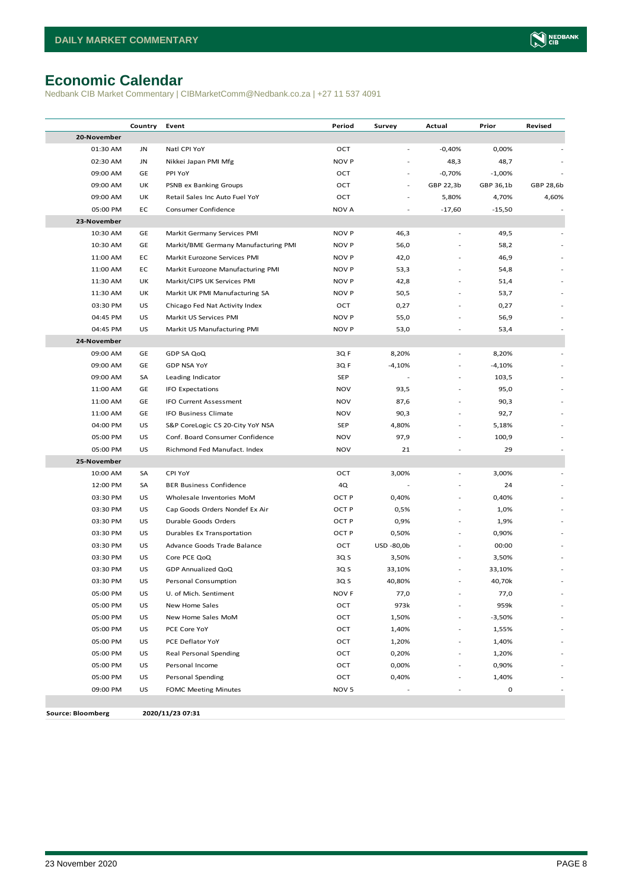# <span id="page-7-0"></span>**Economic Calendar**

Nedbank CIB Market Commentary | CIBMarketComm@Nedbank.co.za | +27 11 537 4091

|                          | Country | Event                                | Period           | Survey     | Actual    | Prior     | Revised   |
|--------------------------|---------|--------------------------------------|------------------|------------|-----------|-----------|-----------|
| 20-November              |         |                                      |                  |            |           |           |           |
| 01:30 AM                 | JN      | Natl CPI YoY                         | OCT              |            | $-0,40%$  | 0,00%     |           |
| 02:30 AM                 | JN      | Nikkei Japan PMI Mfg                 | NOV P            |            | 48,3      | 48,7      |           |
| 09:00 AM                 | GE      | PPI YoY                              | OCT              |            | $-0,70%$  | $-1,00%$  |           |
| 09:00 AM                 | UK      | PSNB ex Banking Groups               | OCT              | $\sim$     | GBP 22,3b | GBP 36,1b | GBP 28,6b |
| 09:00 AM                 | UK      | Retail Sales Inc Auto Fuel YoY       | OCT              |            | 5,80%     | 4,70%     | 4,60%     |
| 05:00 PM                 | EC      | Consumer Confidence                  | NOV A            |            | $-17,60$  | $-15,50$  |           |
| 23-November              |         |                                      |                  |            |           |           |           |
| 10:30 AM                 | GE      | Markit Germany Services PMI          | <b>NOV P</b>     | 46,3       | ä,        | 49,5      |           |
| 10:30 AM                 | GE      | Markit/BME Germany Manufacturing PMI | <b>NOV P</b>     | 56,0       |           | 58,2      |           |
| 11:00 AM                 | EC      | Markit Eurozone Services PMI         | NOV P            | 42,0       |           | 46,9      |           |
| 11:00 AM                 | EC      | Markit Eurozone Manufacturing PMI    | <b>NOV P</b>     | 53,3       |           | 54,8      |           |
| 11:30 AM                 | UK      | Markit/CIPS UK Services PMI          | <b>NOV P</b>     | 42,8       |           | 51,4      |           |
| 11:30 AM                 | UK      | Markit UK PMI Manufacturing SA       | <b>NOV P</b>     | 50,5       |           | 53,7      |           |
| 03:30 PM                 | US      | Chicago Fed Nat Activity Index       | OCT              | 0,27       |           | 0,27      |           |
| 04:45 PM                 | US      | Markit US Services PMI               | <b>NOV P</b>     | 55,0       |           | 56,9      |           |
| 04:45 PM                 | US      | Markit US Manufacturing PMI          | <b>NOV P</b>     | 53,0       |           | 53,4      |           |
| 24-November              |         |                                      |                  |            |           |           |           |
| 09:00 AM                 | GE      | GDP SA QoQ                           | 3Q F             | 8,20%      | L,        | 8,20%     |           |
| 09:00 AM                 | GE      | <b>GDP NSA YoY</b>                   | 3Q F             | $-4,10%$   |           | $-4,10%$  |           |
| 09:00 AM                 | SA      | Leading Indicator                    | <b>SEP</b>       |            |           | 103,5     |           |
| 11:00 AM                 | GE      | <b>IFO Expectations</b>              | <b>NOV</b>       | 93,5       |           | 95,0      |           |
| 11:00 AM                 | GE      | <b>IFO Current Assessment</b>        | <b>NOV</b>       | 87,6       |           | 90,3      |           |
| 11:00 AM                 | GE      | IFO Business Climate                 | <b>NOV</b>       | 90,3       |           | 92,7      |           |
| 04:00 PM                 | US      | S&P CoreLogic CS 20-City YoY NSA     | <b>SEP</b>       | 4,80%      |           | 5,18%     |           |
| 05:00 PM                 | US      | Conf. Board Consumer Confidence      | <b>NOV</b>       | 97,9       |           | 100,9     |           |
| 05:00 PM                 | US      | Richmond Fed Manufact. Index         | <b>NOV</b>       | 21         | ä,        | 29        |           |
| 25-November              |         |                                      |                  |            |           |           |           |
| 10:00 AM                 | SA      | CPI YoY                              | OCT              | 3,00%      | L,        | 3,00%     |           |
| 12:00 PM                 | SA      | <b>BER Business Confidence</b>       | 4Q               |            |           | 24        |           |
| 03:30 PM                 | US      | Wholesale Inventories MoM            | OCT P            | 0,40%      | L         | 0,40%     |           |
| 03:30 PM                 | US      | Cap Goods Orders Nondef Ex Air       | OCT P            | 0,5%       |           | 1,0%      |           |
| 03:30 PM                 | US      | Durable Goods Orders                 | OCT P            | 0,9%       | ä,        | 1,9%      |           |
| 03:30 PM                 | US      | Durables Ex Transportation           | OCT P            | 0,50%      |           | 0,90%     |           |
| 03:30 PM                 | US      | Advance Goods Trade Balance          | OCT              | USD -80,0b |           | 00:00     |           |
| 03:30 PM                 | US      | Core PCE QoQ                         | 3Q S             | 3,50%      |           | 3,50%     |           |
| 03:30 PM                 | US      | GDP Annualized QoQ                   | 3Q S             | 33,10%     |           | 33,10%    |           |
| 03:30 PM                 | US      | Personal Consumption                 | 3Q S             | 40,80%     | ä,        | 40,70k    |           |
| 05:00 PM                 | US      | U. of Mich. Sentiment                | NOV F            | 77,0       |           | 77,0      |           |
| 05:00 PM                 | US      | New Home Sales                       | OCT              | 973k       |           | 959k      |           |
| 05:00 PM                 | US      | New Home Sales MoM                   | OCT              | 1,50%      |           | $-3,50%$  |           |
| 05:00 PM                 | US      | PCE Core YoY                         | OCT              | 1,40%      | L         | 1,55%     |           |
| 05:00 PM                 | US      | PCE Deflator YoY                     | OCT              | 1,20%      | L         | 1,40%     |           |
| 05:00 PM                 | US      | Real Personal Spending               | OCT              | 0,20%      | L.        | 1,20%     |           |
| 05:00 PM                 | US      | Personal Income                      | OCT              | 0,00%      | ÷,        | 0,90%     |           |
| 05:00 PM                 | US      | Personal Spending                    | OCT              | 0,40%      |           | 1,40%     |           |
| 09:00 PM                 | US      | <b>FOMC Meeting Minutes</b>          | NOV <sub>5</sub> |            |           | 0         |           |
|                          |         |                                      |                  |            |           |           |           |
| <b>Source: Bloomberg</b> |         | 2020/11/23 07:31                     |                  |            |           |           |           |